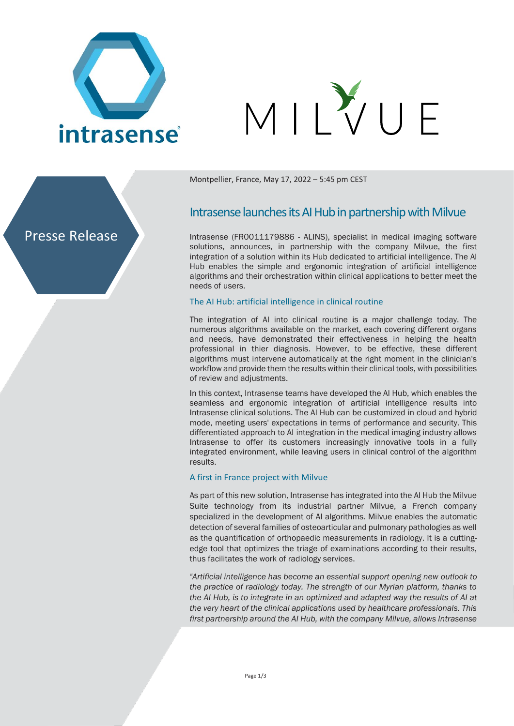

# VIIVUF



Montpellier, France, May 17, 2022 – 5:45 pm CEST

# Intrasense launches its AI Hub in partnership with Milvue

Intrasense (FR0011179886 - ALINS), specialist in medical imaging software solutions, announces, in partnership with the company Milvue, the first integration of a solution within its Hub dedicated to artificial intelligence. The AI Hub enables the simple and ergonomic integration of artificial intelligence algorithms and their orchestration within clinical applications to better meet the needs of users.

#### The AI Hub: artificial intelligence in clinical routine

The integration of AI into clinical routine is a major challenge today. The numerous algorithms available on the market, each covering different organs and needs, have demonstrated their effectiveness in helping the health professional in thier diagnosis. However, to be effective, these different algorithms must intervene automatically at the right moment in the clinician's workflow and provide them the results within their clinical tools, with possibilities of review and adjustments.

In this context, Intrasense teams have developed the AI Hub, which enables the seamless and ergonomic integration of artificial intelligence results into Intrasense clinical solutions. The AI Hub can be customized in cloud and hybrid mode, meeting users' expectations in terms of performance and security. This differentiated approach to AI integration in the medical imaging industry allows Intrasense to offer its customers increasingly innovative tools in a fully integrated environment, while leaving users in clinical control of the algorithm results.

#### A first in France project with Milvue

As part of this new solution, Intrasense has integrated into the AI Hub the Milvue Suite technology from its industrial partner Milvue, a French company specialized in the development of AI algorithms. Milvue enables the automatic detection of several families of osteoarticular and pulmonary pathologies as well as the quantification of orthopaedic measurements in radiology. It is a cuttingedge tool that optimizes the triage of examinations according to their results, thus facilitates the work of radiology services.

*"Artificial intelligence has become an essential support opening new outlook to the practice of radiology today. The strength of our Myrian platform, thanks to the AI Hub, is to integrate in an optimized and adapted way the results of AI at the very heart of the clinical applications used by healthcare professionals. This first partnership around the AI Hub, with the company Milvue, allows Intrasense*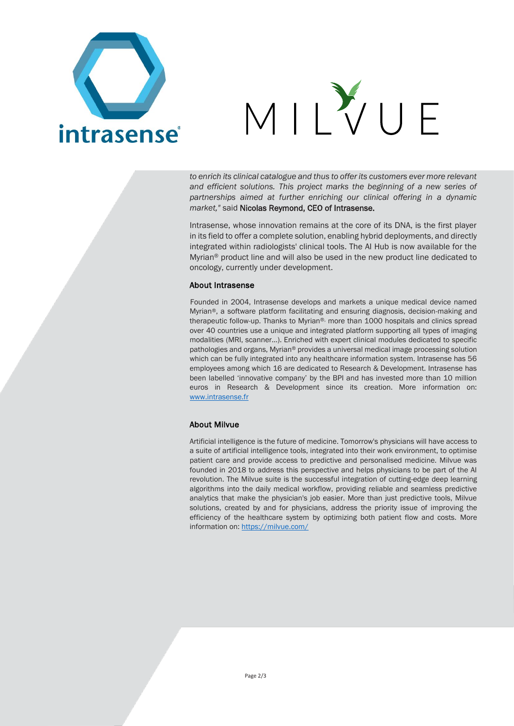



*to enrich its clinical catalogue and thus to offer its customers ever more relevant and efficient solutions. This project marks the beginning of a new series of partnerships aimed at further enriching our clinical offering in a dynamic market,"* said Nicolas Reymond, CEO of Intrasense.

Intrasense, whose innovation remains at the core of its DNA, is the first player in its field to offer a complete solution, enabling hybrid deployments, and directly integrated within radiologists' clinical tools. The AI Hub is now available for the Myrian® product line and will also be used in the new product line dedicated to oncology, currently under development.

#### About Intrasense

Founded in 2004, Intrasense develops and markets a unique medical device named Myrian®, a software platform facilitating and ensuring diagnosis, decision-making and therapeutic follow-up. Thanks to Myrian®, more than 1000 hospitals and clinics spread over 40 countries use a unique and integrated platform supporting all types of imaging modalities (MRI, scanner…). Enriched with expert clinical modules dedicated to specific pathologies and organs, Myrian® provides a universal medical image processing solution which can be fully integrated into any healthcare information system. Intrasense has 56 employees among which 16 are dedicated to Research & Development. Intrasense has been labelled 'innovative company' by the BPI and has invested more than 10 million euros in Research & Development since its creation. More information on: [www.intrasense.fr](http://www.intrasense.fr/)

### About Milvue

Artificial intelligence is the future of medicine. Tomorrow's physicians will have access to a suite of artificial intelligence tools, integrated into their work environment, to optimise patient care and provide access to predictive and personalised medicine. Milvue was founded in 2018 to address this perspective and helps physicians to be part of the AI revolution. The Milvue suite is the successful integration of cutting-edge deep learning algorithms into the daily medical workflow, providing reliable and seamless predictive analytics that make the physician's job easier. More than just predictive tools, Milvue solutions, created by and for physicians, address the priority issue of improving the efficiency of the healthcare system by optimizing both patient flow and costs. More information on:<https://milvue.com/>